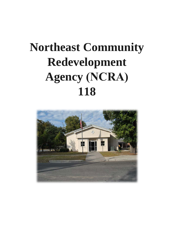## **Northeast Community Redevelopment Agency (NCRA) 118**

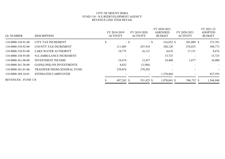## CITY OF MOUNT DORA FUND 118 - N.E.REDEVELOPMENT AGENCY REVENUE LINE ITEM DETAIL

|                            |                                   |   | FY 2018-2019    | FY 2019-2020             | FY 2020-2021<br><b>AMENDED</b> | FY 2020-2021             | FY 2021-22<br><b>ADOPTED</b><br><b>BUDGET</b> |  |
|----------------------------|-----------------------------------|---|-----------------|--------------------------|--------------------------------|--------------------------|-----------------------------------------------|--|
| <b>GL NUMBER</b>           | <b>DESCRIPTION</b>                |   | <b>ACTIVITY</b> | <b>ACTIVITY</b>          | <b>BUDGET</b>                  | <b>ACTIVITY</b>          |                                               |  |
| 118-0000-338.91-00         | <b>CITY TAX INCREMENT</b>         | D | $-$ \$          | - \$                     | 316,652 \$                     | 301,089 \$               | 373,781                                       |  |
| 118-0000-338.92-00         | <b>COUNTY TAX INCREMENT</b>       |   | 211,085         | 247,918                  | 248,120                        | 276,835                  | 308,773                                       |  |
| 118-0000-338.93-00         | <b>LAKE WATER AUTHORITY</b>       |   | 18,775          | 16,131                   | 8,676                          | 17,151                   | 8,676                                         |  |
| 118-0000-338.95-00         | N.E.AMBULANCE INCREMENT           |   |                 |                          | 15,725                         |                          | 15,725                                        |  |
| 118-0000-361.00-00         | <b>INVESTMENT INCOME</b>          |   | 19,474          | 12,457                   | 10,400                         | 1,677                    | 10,400                                        |  |
| 118-0000-361.30-00         | <b>GAIN(LOSS) ON INVESTMENTS</b>  |   | 8,852           | (3,586)                  | $\overline{\phantom{a}}$       |                          | $\overline{\phantom{a}}$                      |  |
| 118-0000-381.01-00         | <b>TRANSFER FROM GENERAL FUND</b> |   | 239,076         | 278,503                  |                                | $\sim$                   | $\overline{\phantom{a}}$                      |  |
| 118-0000-389.10-01         | <b>ESTIMATED CARRYOVER</b>        |   |                 | $\overline{\phantom{a}}$ | 1,370,468                      | $\overline{\phantom{a}}$ | 827,593                                       |  |
| <b>REVENUES - FUND 118</b> |                                   |   | 497,262 \$      | 551,423 \$               | 1,970,041 \$                   | 596,752 \$               | 1,544,948                                     |  |
|                            |                                   |   |                 |                          |                                |                          |                                               |  |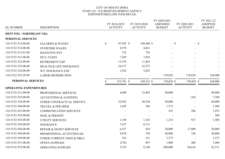## CITY OF MOUNT DORA FUND 118 - N.E.REDEVELOPMENT AGENCY EXPENDITURES LINE ITEM DETAIL

|                                  |                                    |              |                                 |                                 | FY 2020-2021                    |                                 | FY 2021-22<br><b>ADOPTED</b><br><b>BUDGET</b> |  |
|----------------------------------|------------------------------------|--------------|---------------------------------|---------------------------------|---------------------------------|---------------------------------|-----------------------------------------------|--|
| <b>GL NUMBER</b>                 | <b>DESCRIPTION</b>                 |              | FY 2018-2019<br><b>ACTIVITY</b> | FY 2019-2020<br><b>ACTIVITY</b> | <b>AMENDED</b><br><b>BUDGET</b> | FY 2020-2021<br><b>ACTIVITY</b> |                                               |  |
| <b>DEPT 5152 - NORTHEAST CRA</b> |                                    |              |                                 |                                 |                                 |                                 |                                               |  |
| PERSONAL SERVICES                |                                    |              |                                 |                                 |                                 |                                 |                                               |  |
| 118-5152-512.00-00               | <b>SALARIES &amp; WAGES</b>        | $\mathbb{S}$ | 97,505 \$                       | 109,440 \$                      |                                 | $-$ \$                          | $-$ \$                                        |  |
| 118-5152-514.00-00               | <b>OVERTIME WAGES</b>              |              | 8,570                           | 4,661                           | $\overline{\phantom{a}}$        |                                 |                                               |  |
| 118-5152-515.01-00               | <b>INCENTIVE PAY</b>               |              | 722                             | 726                             |                                 |                                 |                                               |  |
| 118-5152-521.00-00               | <b>FICA TAXES</b>                  |              | 7,269                           | 7,924                           |                                 |                                 |                                               |  |
| 118-5152-522.00-00               | <b>RETIREMENT EXP</b>              |              | 13,376                          | 11,465                          |                                 |                                 |                                               |  |
| 118-5152-523.00-00               | <b>HEALTH &amp; LIFE INSURANCE</b> |              | 24,377                          | 32,275                          |                                 |                                 |                                               |  |
| 118-5152-524.00-00               | <b>W/C INSURANCE EXP</b>           |              | 1,922                           | 3,022                           |                                 |                                 |                                               |  |
| 118-5152-552.29-99               | <b>LABOR DISTRIBUTION</b>          |              |                                 |                                 | 170,828                         | 170,828                         | 168,900                                       |  |
| PERSONAL SERVICES                |                                    |              | 153,741 \$                      | 169,513 \$                      | 170,828 \$                      | 170,828 \$                      | 168,900                                       |  |
| <b>OPERATING EXPENDITURES</b>    |                                    |              |                                 |                                 |                                 |                                 |                                               |  |
| 118-5152-531.00-00               | PROFESSIONAL SERVICES              |              | 4,408                           | 23,482                          | 20,000                          |                                 | 40,000                                        |  |
| 118-5152-532.00-00               | <b>ACCOUNTING &amp; AUDITING</b>   |              |                                 |                                 |                                 | (18)                            | 7,500                                         |  |
| 118-5152-534.00-00               | OTHER CONTRACTUAL SERVICE          |              | 32,952                          | 30,520                          | 50,000                          |                                 | 60,000                                        |  |
| 118-5152-540.00-00               | TRAVEL & PER DIEM                  |              | 1,695                           | 766                             | 1,572                           |                                 | 1,500                                         |  |
| 118-5152-541.00-00               | <b>COMMUNICATION SERVICES</b>      |              |                                 |                                 | 432                             | 286                             | 1,932                                         |  |
| 118-5152-542.00-00               | MAIL & FREIGHT                     |              |                                 |                                 |                                 |                                 | 500                                           |  |
| 118-5152-543.00-00               | <b>UTILITY SERVICES</b>            |              | 1,194                           | 1,102                           | 1,214                           | 927                             | 1,500                                         |  |
| 118-5152-545.00-00               | <b>INSURANCE</b>                   |              | 7,627                           | 8,131                           |                                 |                                 |                                               |  |
| 118-5152-546.00-00               | <b>REPAIR &amp; MAINT SERVICES</b> |              | 6,537                           | 818                             | 30,000                          | 17,000                          | 20,000                                        |  |
| 118-5152-548.00-00               | PROMOTIONAL ACTIVITIES/AD          |              | 4,918                           | 744                             | 50,000                          | 196                             | 30,000                                        |  |
| 118-5152-549.00-00               | OTHER CURRENT CHGS & OBLG          |              | 522                             | 151                             | 3,375                           |                                 | 3,375                                         |  |
| 118-5152-551.00-00               | <b>OFFICE SUPPLIES</b>             |              | (278)                           | 497                             | 1,000                           | 468                             | 1,000                                         |  |
| 118-5152-552.00-00               | <b>OPERATING SUPPLIES</b>          |              | 5,523                           | 8,190                           | 200,000                         | 64,616                          | 42,511                                        |  |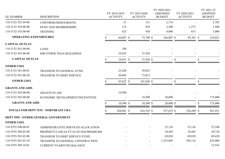| <b>GL NUMBER</b>                            | <b>DESCRIPTION</b>                   |    | FY 2018-2019<br><b>ACTIVITY</b> | FY 2019-2020<br><b>ACTIVITY</b> | FY 2020-2021<br><b>AMENDED</b><br><b>BUDGET</b> |        | FY 2020-2021<br><b>ACTIVITY</b> |        | FY 2021-22<br><b>ADOPTED</b><br><b>BUDGET</b> |
|---------------------------------------------|--------------------------------------|----|---------------------------------|---------------------------------|-------------------------------------------------|--------|---------------------------------|--------|-----------------------------------------------|
| 118-5152-552.49-00                          | UNIFORMS/SHOES/BOOTS                 |    | 51                              | 131                             | 2,714                                           |        |                                 |        | 2,703                                         |
| 118-5152-554.00-00                          | <b>DUES AND MEMBERSHIPS</b>          |    | 315                             | 828                             | 2,500                                           |        | 1,273                           |        | 2,500                                         |
| 118-5152-555.00-00                          | <b>TRAINING</b>                      |    | 623                             | 430                             | 4,000                                           |        | 633                             |        | 3,000                                         |
| <b>OPERATING EXPENDITURES</b>               |                                      |    | 66,087 \$                       | 75,790 \$                       | 366,807 \$                                      |        | 85,381 \$                       |        | 218,021                                       |
| <b>CAPITAL OUTLAY</b>                       |                                      |    |                                 |                                 |                                                 |        |                                 |        |                                               |
| 118-5152-561.00-00                          | <b>LAND</b>                          |    | 188                             |                                 |                                                 |        |                                 |        |                                               |
| 118-5152-563.00-00                          | <b>IMP OTHER THAN BUILDINGS</b>      |    | 10,263                          | 51,926                          |                                                 |        |                                 |        |                                               |
| <b>CAPITAL OUTLAY</b>                       |                                      |    | 10,451 \$                       | 51,926 \$                       |                                                 | $-$ \$ |                                 | $-$ \$ |                                               |
| <b>OTHER USES</b>                           |                                      |    |                                 |                                 |                                                 |        |                                 |        |                                               |
| 118-5152-581.00-01                          | TRANSFER TO GENERAL FUND             |    | 23,420                          | 29,023                          |                                                 |        |                                 |        |                                               |
| 118-5152-581.00-20                          | TRANSFER TO DEBT SERVICE             |    | 20,402                          | 72,013                          |                                                 |        |                                 |        |                                               |
| <b>OTHER USES</b>                           |                                      |    | 43,822 \$                       | $101,036$ \$                    |                                                 | $-$ \$ |                                 | $-$ \$ |                                               |
| <b>GRANTS AND AIDS</b>                      |                                      |    |                                 |                                 |                                                 |        |                                 |        |                                               |
| 118-5152-582.00-00                          | <b>GRANTS IN AID</b>                 |    | 10,500                          |                                 |                                                 |        |                                 |        |                                               |
| 118-5152-583.00-00                          | ECONOMIC DEVELOPMENT/INCENTIVES      |    |                                 | 18,500                          | 20,000                                          |        |                                 |        | 175,000                                       |
| <b>GRANTS AND AIDS</b>                      |                                      | S. | $10,500$ \$                     | 18,500 \$                       | $20,000$ \$                                     |        |                                 | $-$ \$ | 175,000                                       |
| <b>TOTALS FOR DEPT 5152 - NORTHEAST CRA</b> |                                      | Я  | 284,601 \$                      | 416,765 \$                      | 557,635 \$                                      |        | 256,209 \$                      |        | 561,921                                       |
|                                             | DEPT 5555 - OTHER GENERAL GOVERNMENT |    |                                 |                                 |                                                 |        |                                 |        |                                               |
| <b>OTHER USES</b>                           |                                      |    |                                 |                                 |                                                 |        |                                 |        |                                               |
| 118-5555-580.00-01                          | ADMINISTRATIVE SERVICES ALLOCATION   |    |                                 |                                 | 53,126                                          |        | 53,126                          |        | 52,340                                        |
| 118-5555-580.45-00                          | PROPERTY/CASUALTY/AUTO INS PREMIUMS  |    |                                 |                                 | 34,445                                          |        | 34,445                          |        | 20,724                                        |
| 118-5555-581.02-00                          | <b>TRANSFER TO DEBT SERVICE FUND</b> |    |                                 |                                 | 69,830                                          |        | 69,830                          |        | 69,420                                        |
| 118-5555-581.03-10                          | TRANSFER TO GENERAL CONSTRUCTION     |    |                                 |                                 | 1,255,005                                       |        | 395,116                         |        | 825,000                                       |
| 118-5555-589.10-01                          | <b>CURRENT YEARFUND BALANCE</b>      |    |                                 |                                 |                                                 |        |                                 |        | 15,543                                        |